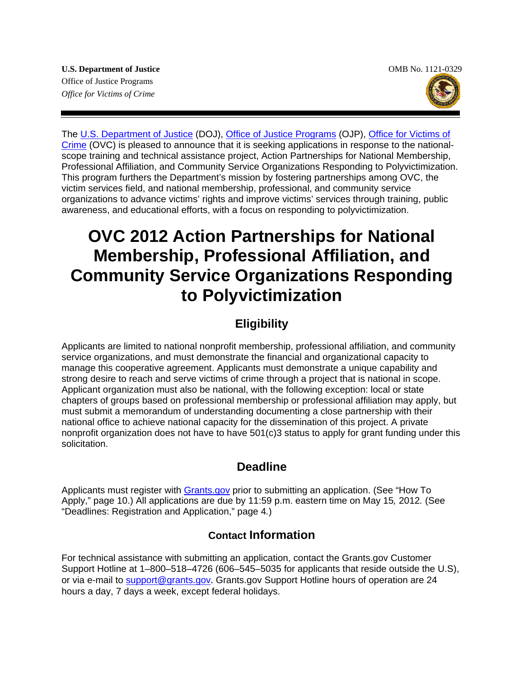

The [U.S. Department of Justice](http://www.usdoj.gov/) (DOJ), [Office of Justice Programs](http://www.ojp.gov/) (OJP), [Office for Victims of](http://www.ovc.gov/)  [Crime](http://www.ovc.gov/) (OVC) is pleased to announce that it is seeking applications in response to the nationalscope training and technical assistance project, Action Partnerships for National Membership, Professional Affiliation, and Community Service Organizations Responding to Polyvictimization. This program furthers the Department's mission by fostering partnerships among OVC, the victim services field, and national membership, professional, and community service organizations to advance victims' rights and improve victims' services through training, public awareness, and educational efforts, with a focus on responding to polyvictimization.

# **OVC 2012 Action Partnerships for National Membership, Professional Affiliation, and Community Service Organizations Responding to Polyvictimization**

# **Eligibility**

Applicants are limited to national nonprofit membership, professional affiliation, and community service organizations, and must demonstrate the financial and organizational capacity to manage this cooperative agreement. Applicants must demonstrate a unique capability and strong desire to reach and serve victims of crime through a project that is national in scope. Applicant organization must also be national, with the following exception: local or state chapters of groups based on professional membership or professional affiliation may apply, but must submit a memorandum of understanding documenting a close partnership with their national office to achieve national capacity for the dissemination of this project. A private nonprofit organization does not have to have 501(c)3 status to apply for grant funding under this solicitation.

# **Deadline**

Applicants must register with [Grants.gov](http://www.grants.gov/applicants/apply_for_grants.jsp) prior to submitting an application. (See "How To Apply," page 10.) All applications are due by 11:59 p.m. eastern time on May 15*,* 2012*.* (See "Deadlines: Registration and Application," page 4*.*)

# **Contact Information**

 hours a day, 7 days a week, except federal holidays. For technical assistance with submitting an application, contact the Grants.gov Customer Support Hotline at 1–800–518–4726 (606–545–5035 for applicants that reside outside the U.S), or via e-mail to [support@grants.gov](mailto:support@grants.gov). Grants.gov Support Hotline hours of operation are 24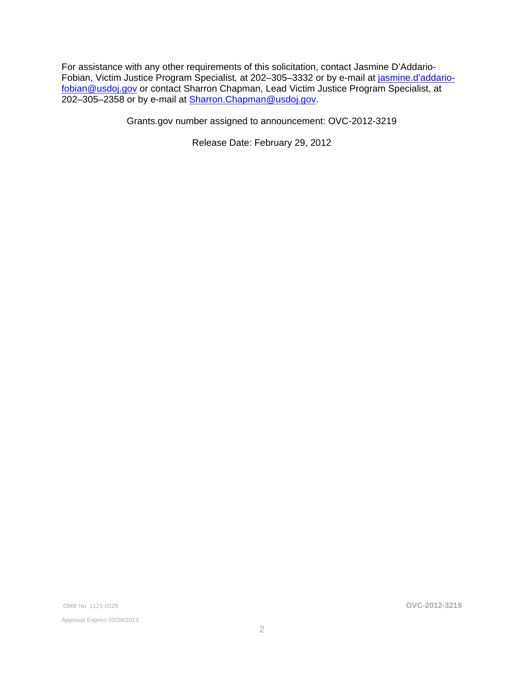For assistance with any other requirements of this solicitation, contact Jasmine D'Addario-Fobian, Victim Justice Program Specialist*,* at 202–305–3332 or by e-mail at [jasmine.d'addario](mailto:jasmine.d%E2%80%99addario-fobian@usdoj.gov)[fobian@usdoj.gov](mailto:jasmine.d’addario-fobian@usdoj.gov) or contact Sharron Chapman, Lead Victim Justice Program Specialist, at 202–305–2358 or by e-mail at [Sharron.Chapman@usdoj.gov](mailto:Sharron.Chapman@usdoj.gov).

Grants.gov number assigned to announcement: OVC-2012-3219

Release Date: February 29, 2012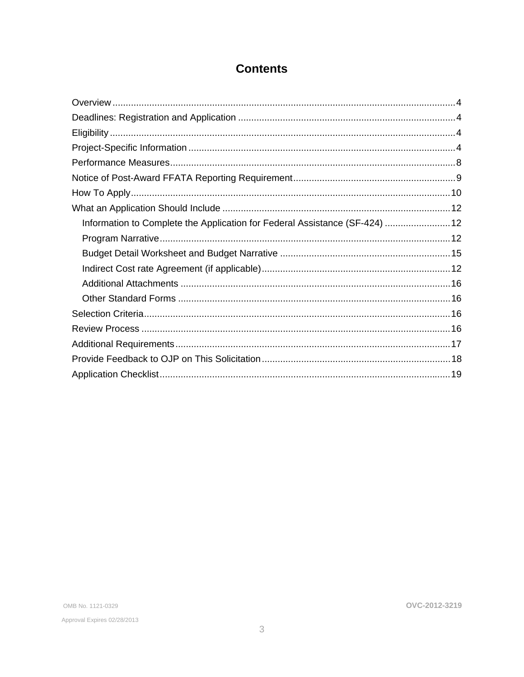# **Contents**

| Information to Complete the Application for Federal Assistance (SF-424) 12 |  |
|----------------------------------------------------------------------------|--|
|                                                                            |  |
|                                                                            |  |
|                                                                            |  |
|                                                                            |  |
|                                                                            |  |
|                                                                            |  |
|                                                                            |  |
|                                                                            |  |
|                                                                            |  |
|                                                                            |  |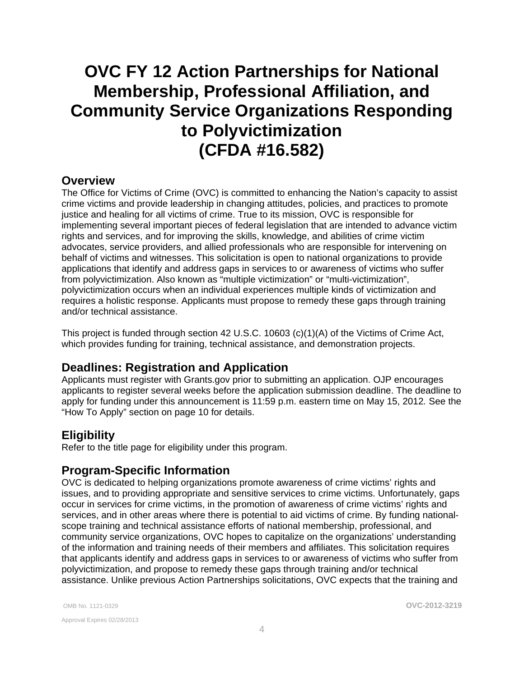# <span id="page-3-0"></span>**OVC FY 12 Action Partnerships for National Membership, Professional Affiliation, and Community Service Organizations Responding to Polyvictimization (CFDA #16.582)**

### **Overview**

The Office for Victims of Crime (OVC) is committed to enhancing the Nation's capacity to assist crime victims and provide leadership in changing attitudes, policies, and practices to promote justice and healing for all victims of crime. True to its mission, OVC is responsible for implementing several important pieces of federal legislation that are intended to advance victim rights and services, and for improving the skills, knowledge, and abilities of crime victim advocates, service providers, and allied professionals who are responsible for intervening on behalf of victims and witnesses. This solicitation is open to national organizations to provide applications that identify and address gaps in services to or awareness of victims who suffer from polyvictimization. Also known as "multiple victimization" or "multi-victimization", polyvictimization occurs when an individual experiences multiple kinds of victimization and requires a holistic response. Applicants must propose to remedy these gaps through training and/or technical assistance.

This project is funded through section 42 U.S.C. 10603 (c)(1)(A) of the Victims of Crime Act, which provides funding for training, technical assistance, and demonstration projects.

### **Deadlines: Registration and Application**

Applicants must register with Grants.gov prior to submitting an application. OJP encourages applicants to register several weeks before the application submission deadline. The deadline to apply for funding under this announcement is 11:59 p.m. eastern time on May 15, 2012*.* See the "How To Apply" section on page 10 for details.

### **Eligibility**

Refer to the title page for eligibility under this program.

### **Program-Specific Information**

OVC is dedicated to helping organizations promote awareness of crime victims' rights and issues, and to providing appropriate and sensitive services to crime victims. Unfortunately, gaps occur in services for crime victims, in the promotion of awareness of crime victims' rights and services, and in other areas where there is potential to aid victims of crime. By funding nationalscope training and technical assistance efforts of national membership, professional, and community service organizations, OVC hopes to capitalize on the organizations' understanding of the information and training needs of their members and affiliates. This solicitation requires that applicants identify and address gaps in services to or awareness of victims who suffer from polyvictimization, and propose to remedy these gaps through training and/or technical assistance. Unlike previous Action Partnerships solicitations, OVC expects that the training and

Approval Expires 02/28/2013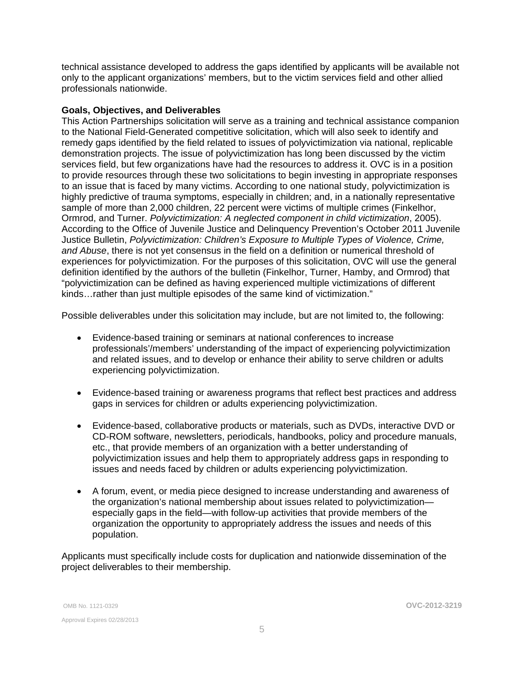technical assistance developed to address the gaps identified by applicants will be available not only to the applicant organizations' members, but to the victim services field and other allied professionals nationwide.

#### **Goals, Objectives, and Deliverables**

This Action Partnerships solicitation will serve as a training and technical assistance companion to the National Field-Generated competitive solicitation, which will also seek to identify and remedy gaps identified by the field related to issues of polyvictimization via national, replicable demonstration projects. The issue of polyvictimization has long been discussed by the victim services field, but few organizations have had the resources to address it. OVC is in a position to provide resources through these two solicitations to begin investing in appropriate responses to an issue that is faced by many victims. According to one national study, polyvictimization is highly predictive of trauma symptoms, especially in children; and, in a nationally representative sample of more than 2,000 children, 22 percent were victims of multiple crimes (Finkelhor, Ormrod, and Turner. *Polyvictimization: A neglected component in child victimization*, 2005). According to the Office of Juvenile Justice and Delinquency Prevention's October 2011 Juvenile Justice Bulletin, *Polyvictimization: Children's Exposure to Multiple Types of Violence, Crime, and Abuse*, there is not yet consensus in the field on a definition or numerical threshold of experiences for polyvictimization. For the purposes of this solicitation, OVC will use the general definition identified by the authors of the bulletin (Finkelhor, Turner, Hamby, and Ormrod) that "polyvictimization can be defined as having experienced multiple victimizations of different kinds…rather than just multiple episodes of the same kind of victimization."

Possible deliverables under this solicitation may include, but are not limited to, the following:

- Evidence-based training or seminars at national conferences to increase professionals'/members' understanding of the impact of experiencing polyvictimization and related issues, and to develop or enhance their ability to serve children or adults experiencing polyvictimization.
- Evidence-based training or awareness programs that reflect best practices and address gaps in services for children or adults experiencing polyvictimization.
- Evidence-based, collaborative products or materials, such as DVDs, interactive DVD or CD-ROM software, newsletters, periodicals, handbooks, policy and procedure manuals, etc., that provide members of an organization with a better understanding of polyvictimization issues and help them to appropriately address gaps in responding to issues and needs faced by children or adults experiencing polyvictimization.
- • A forum, event, or media piece designed to increase understanding and awareness of the organization's national membership about issues related to polyvictimization especially gaps in the field—with follow-up activities that provide members of the organization the opportunity to appropriately address the issues and needs of this population.

Applicants must specifically include costs for duplication and nationwide dissemination of the project deliverables to their membership.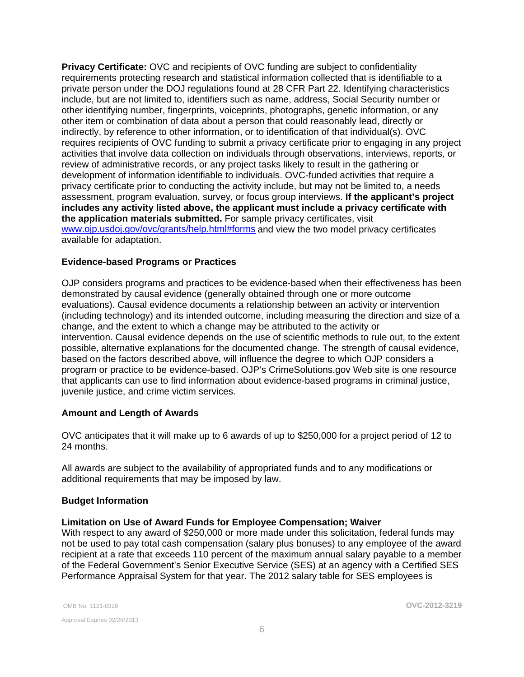**Privacy Certificate:** OVC and recipients of OVC funding are subject to confidentiality requirements protecting research and statistical information collected that is identifiable to a private person under the DOJ regulations found at 28 CFR Part 22. Identifying characteristics include, but are not limited to, identifiers such as name, address, Social Security number or other identifying number, fingerprints, voiceprints, photographs, genetic information, or any other item or combination of data about a person that could reasonably lead, directly or indirectly, by reference to other information, or to identification of that individual(s). OVC requires recipients of OVC funding to submit a privacy certificate prior to engaging in any project activities that involve data collection on individuals through observations, interviews, reports, or review of administrative records, or any project tasks likely to result in the gathering or development of information identifiable to individuals. OVC-funded activities that require a privacy certificate prior to conducting the activity include, but may not be limited to, a needs assessment, program evaluation, survey, or focus group interviews. **If the applicant's project includes any activity listed above, the applicant must include a privacy certificate with the application materials submitted.** For sample privacy certificates, visit [www.ojp.usdoj.gov/ovc/grants/help.html#forms](http://www.ojp.usdoj.gov/ovc/grants/help.html#forms) and view the two model privacy certificates available for adaptation.

#### **Evidence-based Programs or Practices**

OJP considers programs and practices to be evidence-based when their effectiveness has been demonstrated by causal evidence (generally obtained through one or more outcome evaluations). Causal evidence documents a relationship between an activity or intervention (including technology) and its intended outcome, including measuring the direction and size of a change, and the extent to which a change may be attributed to the activity or intervention. Causal evidence depends on the use of scientific methods to rule out, to the extent possible, alternative explanations for the documented change. The strength of causal evidence, based on the factors described above, will influence the degree to which OJP considers a program or practice to be evidence-based. OJP's CrimeSolutions.gov Web site is one resource that applicants can use to find information about evidence-based programs in criminal justice, juvenile justice, and crime victim services.

#### **Amount and Length of Awards**

OVC anticipates that it will make up to 6 awards of up to \$250,000 for a project period of 12 to 24 months.

All awards are subject to the availability of appropriated funds and to any modifications or additional requirements that may be imposed by law.

#### **Budget Information**

#### **Limitation on Use of Award Funds for Employee Compensation; Waiver**

With respect to any award of \$250,000 or more made under this solicitation, federal funds may not be used to pay total cash compensation (salary plus bonuses) to any employee of the award recipient at a rate that exceeds 110 percent of the maximum annual salary payable to a member of the Federal Government's Senior Executive Service (SES) at an agency with a Certified SES Performance Appraisal System for that year. The 2012 salary table for SES employees is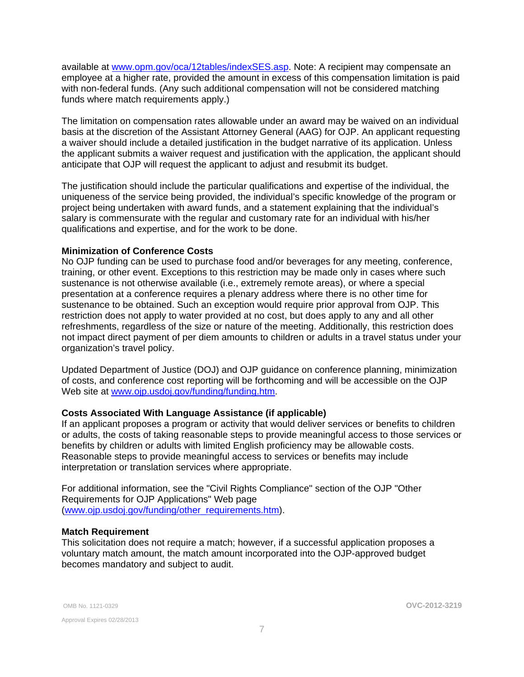available at [www.opm.gov/oca/12tables/indexSES.asp](http://www.opm.gov/oca/12tables/indexSES.asp). Note: A recipient may compensate an employee at a higher rate, provided the amount in excess of this compensation limitation is paid with non-federal funds. (Any such additional compensation will not be considered matching funds where match requirements apply.)

The limitation on compensation rates allowable under an award may be waived on an individual basis at the discretion of the Assistant Attorney General (AAG) for OJP. An applicant requesting a waiver should include a detailed justification in the budget narrative of its application. Unless the applicant submits a waiver request and justification with the application, the applicant should anticipate that OJP will request the applicant to adjust and resubmit its budget.

The justification should include the particular qualifications and expertise of the individual, the uniqueness of the service being provided, the individual's specific knowledge of the program or project being undertaken with award funds, and a statement explaining that the individual's salary is commensurate with the regular and customary rate for an individual with his/her qualifications and expertise, and for the work to be done.

#### **Minimization of Conference Costs**

No OJP funding can be used to purchase food and/or beverages for any meeting, conference, training, or other event. Exceptions to this restriction may be made only in cases where such sustenance is not otherwise available (i.e., extremely remote areas), or where a special presentation at a conference requires a plenary address where there is no other time for sustenance to be obtained. Such an exception would require prior approval from OJP. This restriction does not apply to water provided at no cost, but does apply to any and all other refreshments, regardless of the size or nature of the meeting. Additionally, this restriction does not impact direct payment of per diem amounts to children or adults in a travel status under your organization's travel policy.

Updated Department of Justice (DOJ) and OJP guidance on conference planning, minimization of costs, and conference cost reporting will be forthcoming and will be accessible on the OJP Web site at [www.ojp.usdoj.gov/funding/funding.htm](http://www.ojp.usdoj.gov/funding/funding.htm).

#### **Costs Associated With Language Assistance (if applicable)**

If an applicant proposes a program or activity that would deliver services or benefits to children or adults, the costs of taking reasonable steps to provide meaningful access to those services or benefits by children or adults with limited English proficiency may be allowable costs. Reasonable steps to provide meaningful access to services or benefits may include interpretation or translation services where appropriate.

For additional information, see the "Civil Rights Compliance" section of the OJP "Other Requirements for OJP Applications" Web page ([www.ojp.usdoj.gov/funding/other\\_requirements.htm](http://www.ojp.usdoj.gov/funding/other_requirements.htm)).

#### **Match Requirement**

This solicitation does not require a match; however, if a successful application proposes a voluntary match amount, the match amount incorporated into the OJP-approved budget becomes mandatory and subject to audit.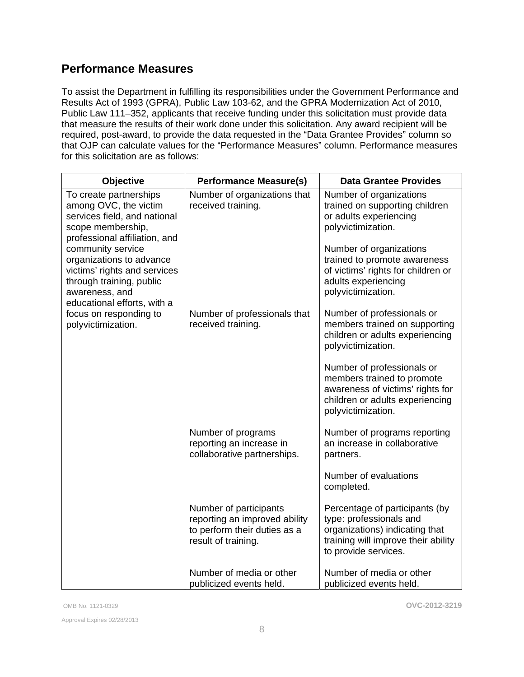# **Performance Measures**

To assist the Department in fulfilling its responsibilities under the Government Performance and Results Act of 1993 (GPRA), Public Law 103-62, and the GPRA Modernization Act of 2010, Public Law 111–352, applicants that receive funding under this solicitation must provide data that measure the results of their work done under this solicitation. Any award recipient will be required, post-award, to provide the data requested in the "Data Grantee Provides" column so that OJP can calculate values for the "Performance Measures" column. Performance measures for this solicitation are as follows:

| <b>Objective</b>                                                                                                                                                                                                                                                                                                                                    | <b>Performance Measure(s)</b>                                                                                  | <b>Data Grantee Provides</b>                                                                                                                               |
|-----------------------------------------------------------------------------------------------------------------------------------------------------------------------------------------------------------------------------------------------------------------------------------------------------------------------------------------------------|----------------------------------------------------------------------------------------------------------------|------------------------------------------------------------------------------------------------------------------------------------------------------------|
| To create partnerships<br>among OVC, the victim<br>services field, and national<br>scope membership,<br>professional affiliation, and<br>community service<br>organizations to advance<br>victims' rights and services<br>through training, public<br>awareness, and<br>educational efforts, with a<br>focus on responding to<br>polyvictimization. | Number of organizations that<br>received training.                                                             | Number of organizations<br>trained on supporting children<br>or adults experiencing<br>polyvictimization.                                                  |
|                                                                                                                                                                                                                                                                                                                                                     |                                                                                                                | Number of organizations<br>trained to promote awareness<br>of victims' rights for children or<br>adults experiencing<br>polyvictimization.                 |
|                                                                                                                                                                                                                                                                                                                                                     | Number of professionals that<br>received training.                                                             | Number of professionals or<br>members trained on supporting<br>children or adults experiencing<br>polyvictimization.                                       |
|                                                                                                                                                                                                                                                                                                                                                     |                                                                                                                | Number of professionals or<br>members trained to promote<br>awareness of victims' rights for<br>children or adults experiencing<br>polyvictimization.      |
|                                                                                                                                                                                                                                                                                                                                                     | Number of programs<br>reporting an increase in<br>collaborative partnerships.                                  | Number of programs reporting<br>an increase in collaborative<br>partners.                                                                                  |
|                                                                                                                                                                                                                                                                                                                                                     |                                                                                                                | Number of evaluations<br>completed.                                                                                                                        |
|                                                                                                                                                                                                                                                                                                                                                     | Number of participants<br>reporting an improved ability<br>to perform their duties as a<br>result of training. | Percentage of participants (by<br>type: professionals and<br>organizations) indicating that<br>training will improve their ability<br>to provide services. |
|                                                                                                                                                                                                                                                                                                                                                     | Number of media or other<br>publicized events held.                                                            | Number of media or other<br>publicized events held.                                                                                                        |

Approval Expires 02/28/2013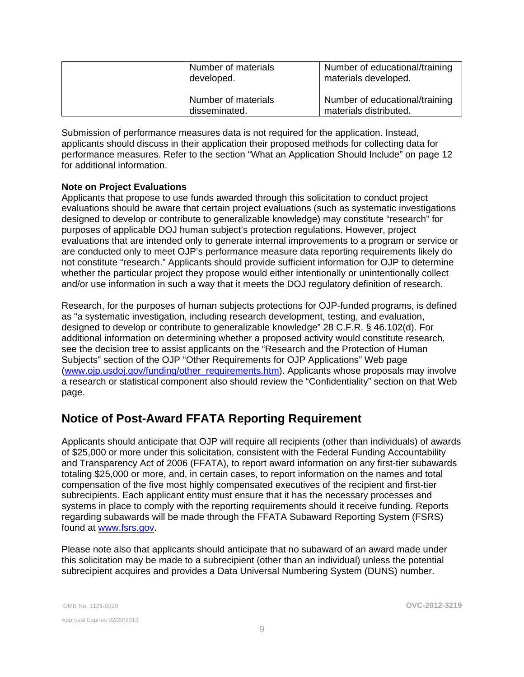| Number of materials<br>developed.    | Number of educational/training<br>materials developed.   |
|--------------------------------------|----------------------------------------------------------|
| Number of materials<br>disseminated. | Number of educational/training<br>materials distributed. |

Submission of performance measures data is not required for the application. Instead, applicants should discuss in their application their proposed methods for collecting data for performance measures. Refer to the section "What an Application Should Include" on page 12 for additional information.

#### **Note on Project Evaluations**

Applicants that propose to use funds awarded through this solicitation to conduct project evaluations should be aware that certain project evaluations (such as systematic investigations designed to develop or contribute to generalizable knowledge) may constitute "research" for purposes of applicable DOJ human subject's protection regulations. However, project evaluations that are intended only to generate internal improvements to a program or service or are conducted only to meet OJP's performance measure data reporting requirements likely do not constitute "research." Applicants should provide sufficient information for OJP to determine whether the particular project they propose would either intentionally or unintentionally collect and/or use information in such a way that it meets the DOJ regulatory definition of research.

Research, for the purposes of human subjects protections for OJP-funded programs, is defined as "a systematic investigation, including research development, testing, and evaluation, designed to develop or contribute to generalizable knowledge" 28 C.F.R. § 46.102(d). For additional information on determining whether a proposed activity would constitute research, see the decision tree to assist applicants on the "Research and the Protection of Human Subjects" section of the OJP "Other Requirements for OJP Applications" Web page ([www.ojp.usdoj.gov/funding/other\\_requirements.htm](http://www.ojp.usdoj.gov/funding/other_requirements.htm)). Applicants whose proposals may involve a research or statistical component also should review the "Confidentiality" section on that Web page.

# **Notice of Post-Award FFATA Reporting Requirement**

Applicants should anticipate that OJP will require all recipients (other than individuals) of awards of \$25,000 or more under this solicitation, consistent with the Federal Funding Accountability and Transparency Act of 2006 (FFATA), to report award information on any first-tier subawards totaling \$25,000 or more, and, in certain cases, to report information on the names and total compensation of the five most highly compensated executives of the recipient and first-tier subrecipients. Each applicant entity must ensure that it has the necessary processes and systems in place to comply with the reporting requirements should it receive funding. Reports regarding subawards will be made through the FFATA Subaward Reporting System (FSRS) found at [www.fsrs.gov](https://www.fsrs.gov/).

Please note also that applicants should anticipate that no subaward of an award made under this solicitation may be made to a subrecipient (other than an individual) unless the potential subrecipient acquires and provides a Data Universal Numbering System (DUNS) number.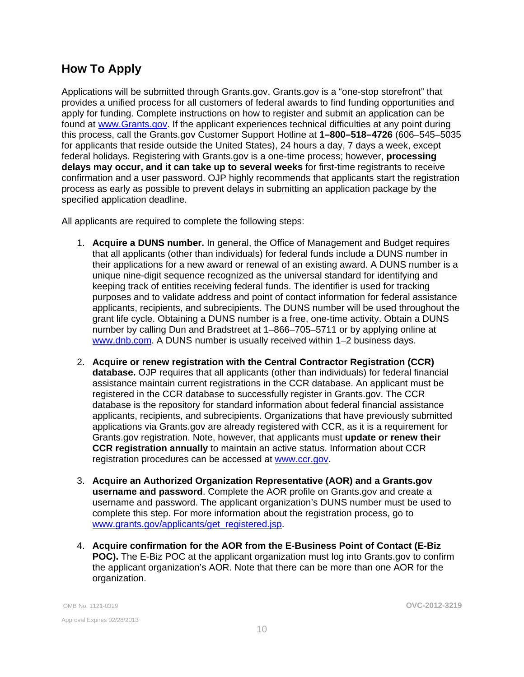# <span id="page-9-0"></span>**How To Apply**

Applications will be submitted through Grants.gov. Grants.gov is a "one-stop storefront" that provides a unified process for all customers of federal awards to find funding opportunities and apply for funding. Complete instructions on how to register and submit an application can be found at [www.Grants.gov](http://www.grants.gov/). If the applicant experiences technical difficulties at any point during this process, call the Grants.gov Customer Support Hotline at **1–800–518–4726** (606–545–5035 for applicants that reside outside the United States), 24 hours a day, 7 days a week, except federal holidays. Registering with Grants.gov is a one-time process; however, **processing delays may occur, and it can take up to several weeks** for first-time registrants to receive confirmation and a user password. OJP highly recommends that applicants start the registration process as early as possible to prevent delays in submitting an application package by the specified application deadline.

All applicants are required to complete the following steps:

- 1. **Acquire a DUNS number.** In general, the Office of Management and Budget requires that all applicants (other than individuals) for federal funds include a DUNS number in their applications for a new award or renewal of an existing award. A DUNS number is a unique nine-digit sequence recognized as the universal standard for identifying and keeping track of entities receiving federal funds. The identifier is used for tracking purposes and to validate address and point of contact information for federal assistance applicants, recipients, and subrecipients. The DUNS number will be used throughout the grant life cycle. Obtaining a DUNS number is a free, one-time activity. Obtain a DUNS number by calling Dun and Bradstreet at 1–866–705–5711 or by applying online at [www.dnb.com](http://www.dnb.com/). A DUNS number is usually received within 1–2 business days.
- 2. **Acquire or renew registration with the Central Contractor Registration (CCR) database.** OJP requires that all applicants (other than individuals) for federal financial assistance maintain current registrations in the CCR database. An applicant must be registered in the CCR database to successfully register in Grants.gov. The CCR database is the repository for standard information about federal financial assistance applicants, recipients, and subrecipients. Organizations that have previously submitted applications via Grants.gov are already registered with CCR, as it is a requirement for Grants.gov registration. Note, however, that applicants must **update or renew their CCR registration annually** to maintain an active status. Information about CCR registration procedures can be accessed at [www.ccr.gov.](http://www.ccr.gov/)
- 3. **Acquire an Authorized Organization Representative (AOR) and a Grants.gov username and password**. Complete the AOR profile on Grants.gov and create a username and password. The applicant organization's DUNS number must be used to complete this step. For more information about the registration process, go to [www.grants.gov/applicants/get\\_registered.jsp](http://www.grants.gov/applicants/get_registered.jsp).
- 4. **Acquire confirmation for the AOR from the E-Business Point of Contact (E-Biz POC).** The E-Biz POC at the applicant organization must log into Grants.gov to confirm the applicant organization's AOR. Note that there can be more than one AOR for the organization.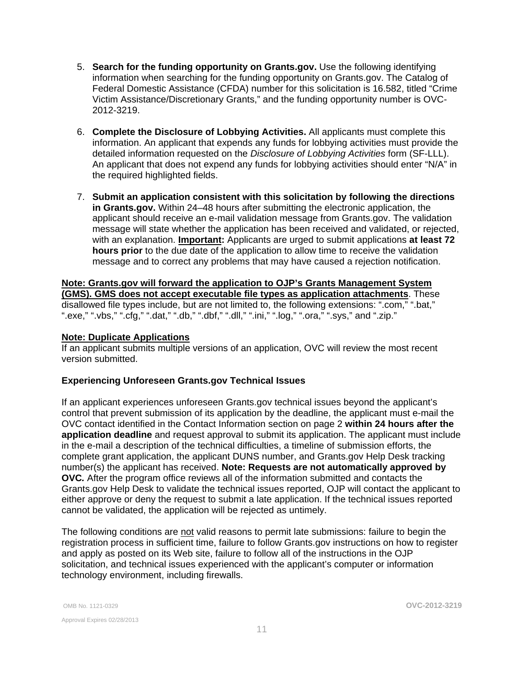- 5. **Search for the funding opportunity on Grants.gov.** Use the following identifying information when searching for the funding opportunity on Grants.gov. The Catalog of Federal Domestic Assistance (CFDA) number for this solicitation is 16.582, titled "Crime Victim Assistance/Discretionary Grants," and the funding opportunity number is OVC-2012-3219.
- 6. **Complete the Disclosure of Lobbying Activities.** All applicants must complete this information. An applicant that expends any funds for lobbying activities must provide the detailed information requested on the *Disclosure of Lobbying Activities* form (SF-LLL). An applicant that does not expend any funds for lobbying activities should enter "N/A" in the required highlighted fields.
- 7. **Submit an application consistent with this solicitation by following the directions in Grants.gov.** Within 24–48 hours after submitting the electronic application, the applicant should receive an e-mail validation message from Grants.gov. The validation message will state whether the application has been received and validated, or rejected, with an explanation. **Important:** Applicants are urged to submit applications **at least 72 hours prior** to the due date of the application to allow time to receive the validation message and to correct any problems that may have caused a rejection notification.

**Note: Grants.gov will forward the application to OJP's Grants Management System (GMS). GMS does not accept executable file types as application attachments**. These disallowed file types include, but are not limited to, the following extensions: ".com," ".bat," ".exe," ".vbs," ".cfg," ".dat," ".db," ".dbf," ".dll," ".ini," ".log," ".ora," ".sys," and ".zip."

#### **Note: Duplicate Applications**

If an applicant submits multiple versions of an application, OVC will review the most recent version submitted.

#### **Experiencing Unforeseen Grants.gov Technical Issues**

If an applicant experiences unforeseen Grants.gov technical issues beyond the applicant's control that prevent submission of its application by the deadline, the applicant must e-mail the OVC contact identified in the Contact Information section on page 2 **within 24 hours after the application deadline** and request approval to submit its application. The applicant must include in the e-mail a description of the technical difficulties, a timeline of submission efforts, the complete grant application, the applicant DUNS number, and Grants.gov Help Desk tracking number(s) the applicant has received. **Note: Requests are not automatically approved by OVC***.* After the program office reviews all of the information submitted and contacts the Grants.gov Help Desk to validate the technical issues reported, OJP will contact the applicant to either approve or deny the request to submit a late application. If the technical issues reported cannot be validated, the application will be rejected as untimely.

The following conditions are not valid reasons to permit late submissions: failure to begin the registration process in sufficient time, failure to follow Grants.gov instructions on how to register and apply as posted on its Web site, failure to follow all of the instructions in the OJP solicitation, and technical issues experienced with the applicant's computer or information technology environment, including firewalls.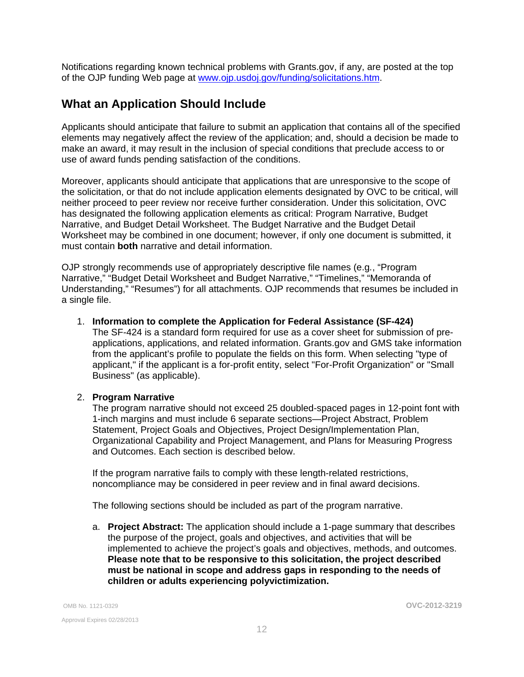<span id="page-11-0"></span>Notifications regarding known technical problems with Grants.gov, if any, are posted at the top of the OJP funding Web page at [www.ojp.usdoj.gov/funding/solicitations.htm.](http://www.ojp.gov/funding/solicitations.htm)

## **What an Application Should Include**

Applicants should anticipate that failure to submit an application that contains all of the specified elements may negatively affect the review of the application; and, should a decision be made to make an award, it may result in the inclusion of special conditions that preclude access to or use of award funds pending satisfaction of the conditions.

Moreover, applicants should anticipate that applications that are unresponsive to the scope of the solicitation, or that do not include application elements designated by OVC to be critical, will neither proceed to peer review nor receive further consideration. Under this solicitation, OVC has designated the following application elements as critical: Program Narrative, Budget Narrative, and Budget Detail Worksheet. The Budget Narrative and the Budget Detail Worksheet may be combined in one document; however, if only one document is submitted, it must contain **both** narrative and detail information.

OJP strongly recommends use of appropriately descriptive file names (e.g*.*, "Program Narrative," "Budget Detail Worksheet and Budget Narrative," "Timelines," "Memoranda of Understanding," "Resumes") for all attachments. OJP recommends that resumes be included in a single file.

#### 1. **Information to complete the Application for Federal Assistance (SF-424)**

The SF-424 is a standard form required for use as a cover sheet for submission of preapplications, applications, and related information. Grants.gov and GMS take information from the applicant's profile to populate the fields on this form. When selecting "type of applicant," if the applicant is a for-profit entity, select "For-Profit Organization" or "Small Business" (as applicable).

#### 2. **Program Narrative**

The program narrative should not exceed 25 doubled-spaced pages in 12-point font with 1-inch margins and must include 6 separate sections—Project Abstract, Problem Statement, Project Goals and Objectives, Project Design/Implementation Plan, Organizational Capability and Project Management, and Plans for Measuring Progress and Outcomes. Each section is described below.

If the program narrative fails to comply with these length-related restrictions, noncompliance may be considered in peer review and in final award decisions.

The following sections should be included as part of the program narrative.

a. **Project Abstract:** The application should include a 1-page summary that describes the purpose of the project, goals and objectives, and activities that will be implemented to achieve the project's goals and objectives, methods, and outcomes. **Please note that to be responsive to this solicitation, the project described must be national in scope and address gaps in responding to the needs of children or adults experiencing polyvictimization.**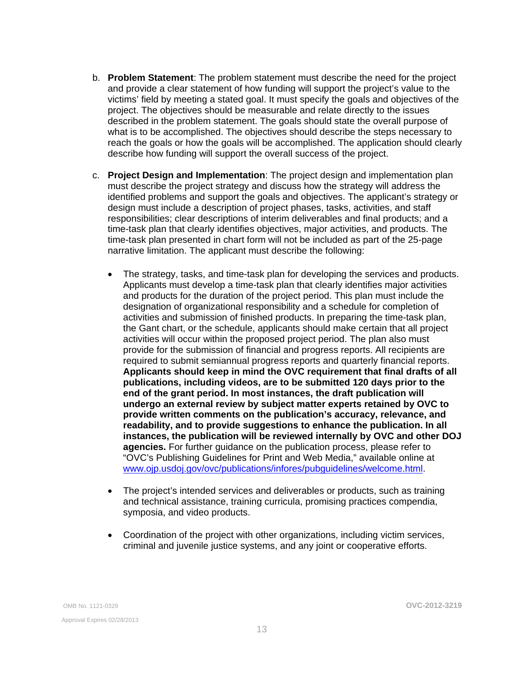- b. **Problem Statement**: The problem statement must describe the need for the project and provide a clear statement of how funding will support the project's value to the victims' field by meeting a stated goal. It must specify the goals and objectives of the project. The objectives should be measurable and relate directly to the issues described in the problem statement. The goals should state the overall purpose of what is to be accomplished. The objectives should describe the steps necessary to reach the goals or how the goals will be accomplished. The application should clearly describe how funding will support the overall success of the project.
- c. **Project Design and Implementation**: The project design and implementation plan must describe the project strategy and discuss how the strategy will address the identified problems and support the goals and objectives. The applicant's strategy or design must include a description of project phases, tasks, activities, and staff responsibilities; clear descriptions of interim deliverables and final products; and a time-task plan that clearly identifies objectives, major activities, and products. The time-task plan presented in chart form will not be included as part of the 25-page narrative limitation. The applicant must describe the following:
	- The strategy, tasks, and time-task plan for developing the services and products. Applicants must develop a time-task plan that clearly identifies major activities and products for the duration of the project period. This plan must include the designation of organizational responsibility and a schedule for completion of activities and submission of finished products. In preparing the time-task plan, the Gant chart, or the schedule, applicants should make certain that all project activities will occur within the proposed project period. The plan also must provide for the submission of financial and progress reports. All recipients are required to submit semiannual progress reports and quarterly financial reports. **Applicants should keep in mind the OVC requirement that final drafts of all publications, including videos, are to be submitted 120 days prior to the end of the grant period. In most instances, the draft publication will undergo an external review by subject matter experts retained by OVC to provide written comments on the publication's accuracy, relevance, and readability, and to provide suggestions to enhance the publication. In all instances, the publication will be reviewed internally by OVC and other DOJ agencies.** For further guidance on the publication process, please refer to "OVC's Publishing Guidelines for Print and Web Media," available online at [www.ojp.usdoj.gov/ovc/publications/infores/pubguidelines/welcome.html](http://www.ojp.usdoj.gov/ovc/publications/infores/pubguidelines/welcome.html).
	- The project's intended services and deliverables or products, such as training and technical assistance, training curricula, promising practices compendia, symposia, and video products.
	- Coordination of the project with other organizations, including victim services, criminal and juvenile justice systems, and any joint or cooperative efforts.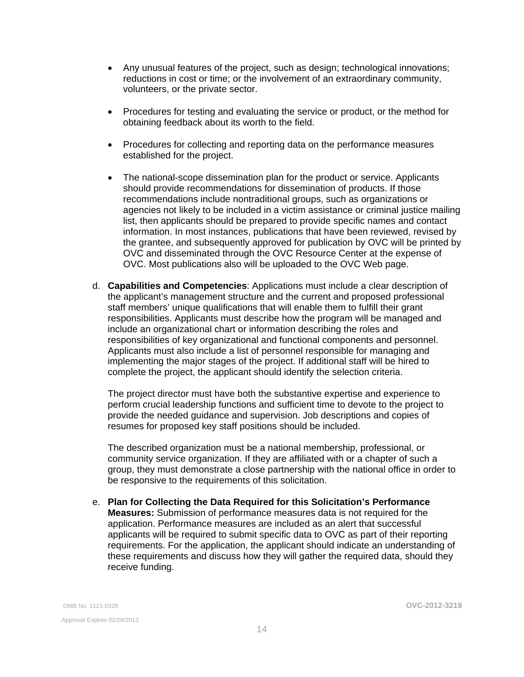- Any unusual features of the project, such as design; technological innovations; reductions in cost or time; or the involvement of an extraordinary community, volunteers, or the private sector.
- Procedures for testing and evaluating the service or product, or the method for obtaining feedback about its worth to the field.
- Procedures for collecting and reporting data on the performance measures established for the project.
- The national-scope dissemination plan for the product or service. Applicants should provide recommendations for dissemination of products. If those recommendations include nontraditional groups, such as organizations or agencies not likely to be included in a victim assistance or criminal justice mailing list, then applicants should be prepared to provide specific names and contact information. In most instances, publications that have been reviewed, revised by the grantee, and subsequently approved for publication by OVC will be printed by OVC and disseminated through the OVC Resource Center at the expense of OVC. Most publications also will be uploaded to the OVC Web page.
- d. **Capabilities and Competencies**: Applications must include a clear description of the applicant's management structure and the current and proposed professional staff members' unique qualifications that will enable them to fulfill their grant responsibilities. Applicants must describe how the program will be managed and include an organizational chart or information describing the roles and responsibilities of key organizational and functional components and personnel. Applicants must also include a list of personnel responsible for managing and implementing the major stages of the project. If additional staff will be hired to complete the project, the applicant should identify the selection criteria.

The project director must have both the substantive expertise and experience to perform crucial leadership functions and sufficient time to devote to the project to provide the needed guidance and supervision. Job descriptions and copies of resumes for proposed key staff positions should be included.

The described organization must be a national membership, professional, or community service organization. If they are affiliated with or a chapter of such a group, they must demonstrate a close partnership with the national office in order to be responsive to the requirements of this solicitation.

e. **Plan for Collecting the Data Required for this Solicitation's Performance Measures:** Submission of performance measures data is not required for the application. Performance measures are included as an alert that successful applicants will be required to submit specific data to OVC as part of their reporting requirements. For the application, the applicant should indicate an understanding of these requirements and discuss how they will gather the required data, should they receive funding.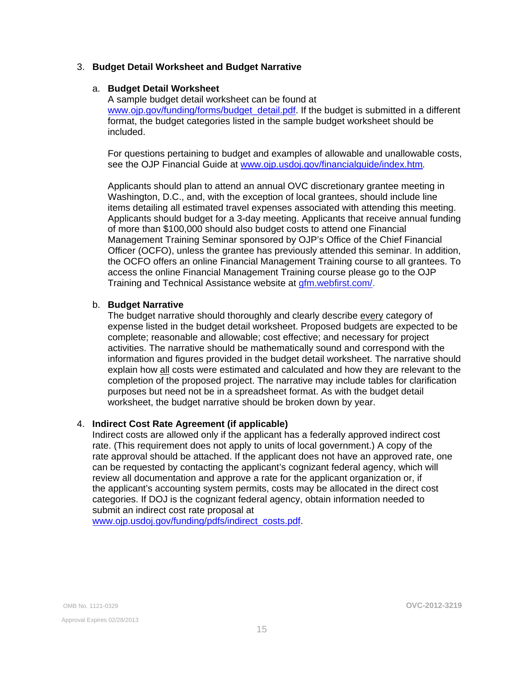#### <span id="page-14-0"></span>3. **Budget Detail Worksheet and Budget Narrative**

#### a. **Budget Detail Worksheet**

A sample budget detail worksheet can be found at www.oip.gov/funding/forms/budget\_detail.pdf. If the budget is submitted in a different format, the budget categories listed in the sample budget worksheet should be included.

For questions pertaining to budget and examples of allowable and unallowable costs, see the OJP Financial Guide at [www.ojp.usdoj.gov/financialguide/index.htm](http://www.ojp.usdoj.gov/financialguide/index.htm)*.* 

Applicants should plan to attend an annual OVC discretionary grantee meeting in Washington, D.C., and, with the exception of local grantees, should include line items detailing all estimated travel expenses associated with attending this meeting. Applicants should budget for a 3-day meeting. Applicants that receive annual funding of more than \$100,000 should also budget costs to attend one Financial Management Training Seminar sponsored by OJP's Office of the Chief Financial Officer (OCFO), unless the grantee has previously attended this seminar. In addition, the OCFO offers an online Financial Management Training course to all grantees. To access the online Financial Management Training course please go to the OJP Training and Technical Assistance website at [gfm.webfirst.com/](http://gfm.webfirst.com/).

#### b. **Budget Narrative**

The budget narrative should thoroughly and clearly describe every category of expense listed in the budget detail worksheet. Proposed budgets are expected to be complete; reasonable and allowable; cost effective; and necessary for project activities. The narrative should be mathematically sound and correspond with the information and figures provided in the budget detail worksheet. The narrative should explain how all costs were estimated and calculated and how they are relevant to the completion of the proposed project. The narrative may include tables for clarification purposes but need not be in a spreadsheet format. As with the budget detail worksheet, the budget narrative should be broken down by year.

#### 4. **Indirect Cost Rate Agreement (if applicable)**

Indirect costs are allowed only if the applicant has a federally approved indirect cost rate. (This requirement does not apply to units of local government.) A copy of the rate approval should be attached. If the applicant does not have an approved rate, one can be requested by contacting the applicant's cognizant federal agency, which will review all documentation and approve a rate for the applicant organization or, if the applicant's accounting system permits, costs may be allocated in the direct cost categories. If DOJ is the cognizant federal agency, obtain information needed to submit an indirect cost rate proposal at

[www.ojp.usdoj.gov/funding/pdfs/indirect\\_costs.pdf](http://www.ojp.usdoj.gov/funding/pdfs/indirect_costs.pdf).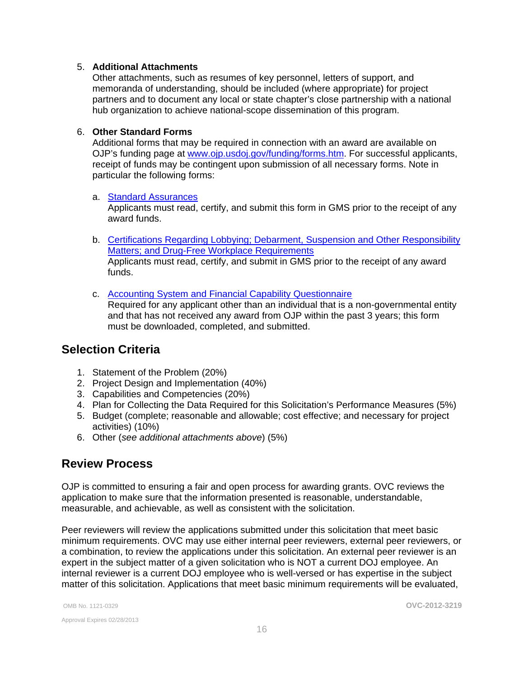#### <span id="page-15-0"></span>5. **Additional Attachments**

Other attachments, such as resumes of key personnel, letters of support, and memoranda of understanding, should be included (where appropriate) for project partners and to document any local or state chapter's close partnership with a national hub organization to achieve national-scope dissemination of this program.

#### 6. **Other Standard Forms**

Additional forms that may be required in connection with an award are available on OJP's funding page at [www.ojp.usdoj.gov/funding/forms.htm.](http://www.ojp.usdoj.gov/funding/forms.htm) For successful applicants, receipt of funds may be contingent upon submission of all necessary forms. Note in particular the following forms:

#### a. **[Standard Assurances](http://www.ojp.usdoj.gov/funding/forms/std_assurances.pdf)**

Applicants must read, certify, and submit this form in GMS prior to the receipt of any award funds.

- b. [Certifications Regarding Lobbying; Debarment, Suspension and Other Responsibility](http://www.ojp.usdoj.gov/funding/forms/certifications.pdf)  [Matters; and Drug-Free Workplace Requirements](http://www.ojp.usdoj.gov/funding/forms/certifications.pdf)  Applicants must read, certify, and submit in GMS prior to the receipt of any award funds.
- c. Accounting System and Financial Capability Questionnaire Required for any applicant other than an individual that is a non-governmental entity and that has not received any award from OJP within the past 3 years; this form must be downloaded, completed, and submitted.

### **Selection Criteria**

- 1. Statement of the Problem (20%)
- 2. Project Design and Implementation (40%)
- 3. Capabilities and Competencies (20%)
- 4. Plan for Collecting the Data Required for this Solicitation's Performance Measures (5%)
- 5. Budget (complete; reasonable and allowable; cost effective; and necessary for project activities) (10%)
- 6. Other (*see additional attachments above*) (5%)

### **Review Process**

OJP is committed to ensuring a fair and open process for awarding grants. OVC reviews the application to make sure that the information presented is reasonable, understandable, measurable, and achievable, as well as consistent with the solicitation.

Peer reviewers will review the applications submitted under this solicitation that meet basic minimum requirements. OVC may use either internal peer reviewers, external peer reviewers, or a combination, to review the applications under this solicitation. An external peer reviewer is an expert in the subject matter of a given solicitation who is NOT a current DOJ employee. An internal reviewer is a current DOJ employee who is well-versed or has expertise in the subject matter of this solicitation. Applications that meet basic minimum requirements will be evaluated,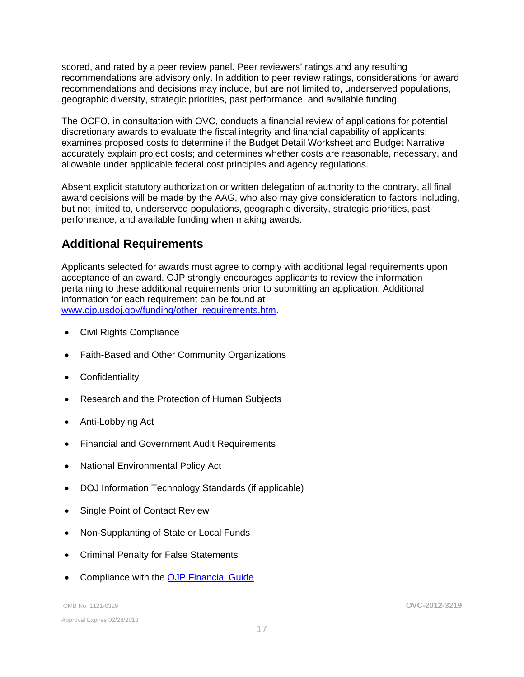<span id="page-16-0"></span>scored, and rated by a peer review panel. Peer reviewers' ratings and any resulting recommendations are advisory only. In addition to peer review ratings, considerations for award recommendations and decisions may include, but are not limited to, underserved populations, geographic diversity, strategic priorities, past performance, and available funding.

The OCFO, in consultation with OVC, conducts a financial review of applications for potential discretionary awards to evaluate the fiscal integrity and financial capability of applicants; examines proposed costs to determine if the Budget Detail Worksheet and Budget Narrative accurately explain project costs; and determines whether costs are reasonable, necessary, and allowable under applicable federal cost principles and agency regulations.

Absent explicit statutory authorization or written delegation of authority to the contrary, all final award decisions will be made by the AAG, who also may give consideration to factors including, but not limited to, underserved populations, geographic diversity, strategic priorities, past performance, and available funding when making awards.

# **Additional Requirements**

Applicants selected for awards must agree to comply with additional legal requirements upon acceptance of an award. OJP strongly encourages applicants to review the information pertaining to these additional requirements prior to submitting an application. Additional information for each requirement can be found at www.oip.usdoi.gov/funding/other\_requirements.htm.

- [Civil Rights Compliance](http://www.ojp.usdoj.gov/about/ocr/statutes.htm)
- Faith-Based and Other Community Organizations
- Confidentiality
- Research and the Protection of Human Subjects
- Anti-Lobbying Act
- Financial and Government Audit Requirements
- National Environmental Policy Act
- DOJ Information Technology Standards (if applicable)
- Single Point of Contact Review
- Non-Supplanting of State or Local Funds
- Criminal Penalty for False Statements
- Compliance with the [OJP Financial Guide](http://www.ojp.usdoj.gov/financialguide/index.htm)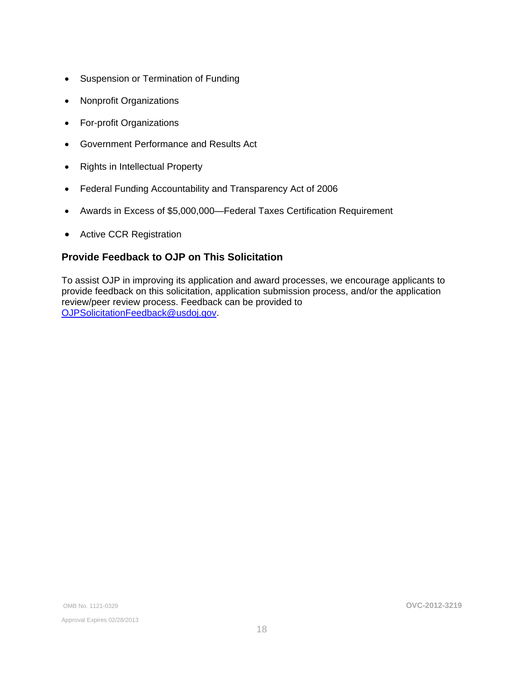- <span id="page-17-0"></span>• Suspension or Termination of Funding
- Nonprofit Organizations
- For-profit Organizations
- Government Performance and Results Act
- Rights in Intellectual Property
- Federal Funding Accountability and Transparency Act of 2006
- Awards in Excess of \$5,000,000—Federal Taxes Certification Requirement
- Active CCR Registration

### **Provide Feedback to OJP on This Solicitation**

To assist OJP in improving its application and award processes, we encourage applicants to provide feedback on this solicitation, application submission process, and/or the application review/peer review process. Feedback can be provided to [OJPSolicitationFeedback@usdoj.gov](mailto:OJPSolicitationFeedback@usdoj.gov).